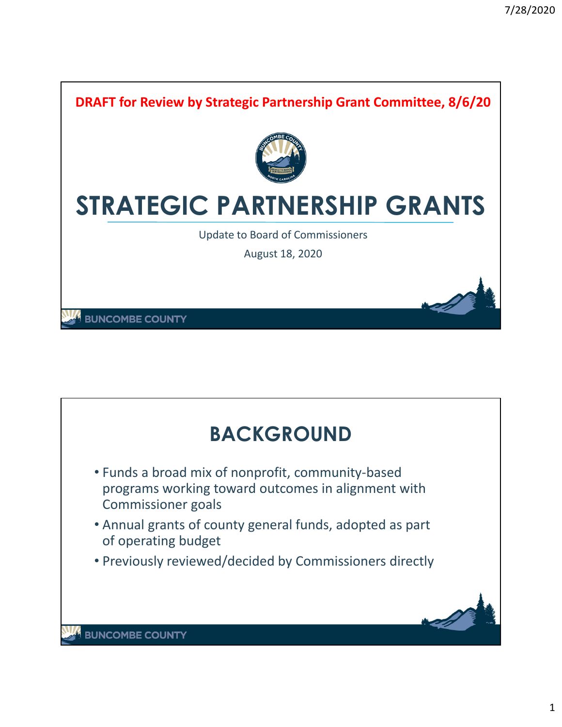

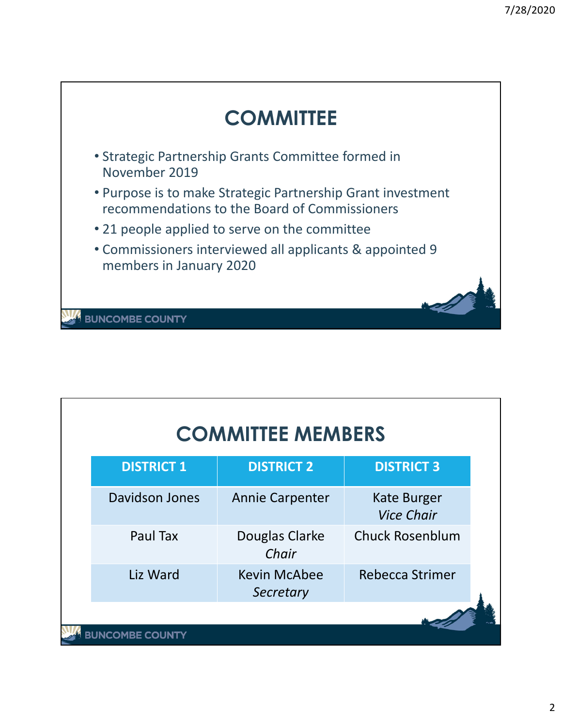

| <b>COMMITTEE MEMBERS</b> |                       |                                  |                                         |  |  |  |  |
|--------------------------|-----------------------|----------------------------------|-----------------------------------------|--|--|--|--|
|                          | <b>DISTRICT 1</b>     | <b>DISTRICT 2</b>                | <b>DISTRICT 3</b>                       |  |  |  |  |
|                          | Davidson Jones        | <b>Annie Carpenter</b>           | <b>Kate Burger</b><br><b>Vice Chair</b> |  |  |  |  |
|                          | Paul Tax              | Douglas Clarke<br>Chair          | <b>Chuck Rosenblum</b>                  |  |  |  |  |
|                          | Liz Ward              | <b>Kevin McAbee</b><br>Secretary | Rebecca Strimer                         |  |  |  |  |
|                          | <b>INCOMBE COUNTY</b> |                                  |                                         |  |  |  |  |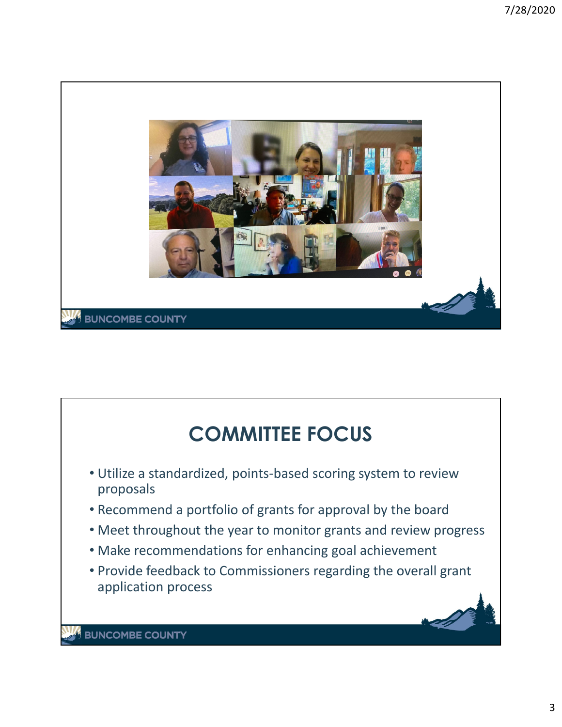

## **COMMITTEE FOCUS** • Utilize a standardized, points‐based scoring system to review proposals • Recommend a portfolio of grants for approval by the board • Meet throughout the year to monitor grants and review progress • Make recommendations for enhancing goal achievement • Provide feedback to Commissioners regarding the overall grant application process**BUNCOMBE COUNTY**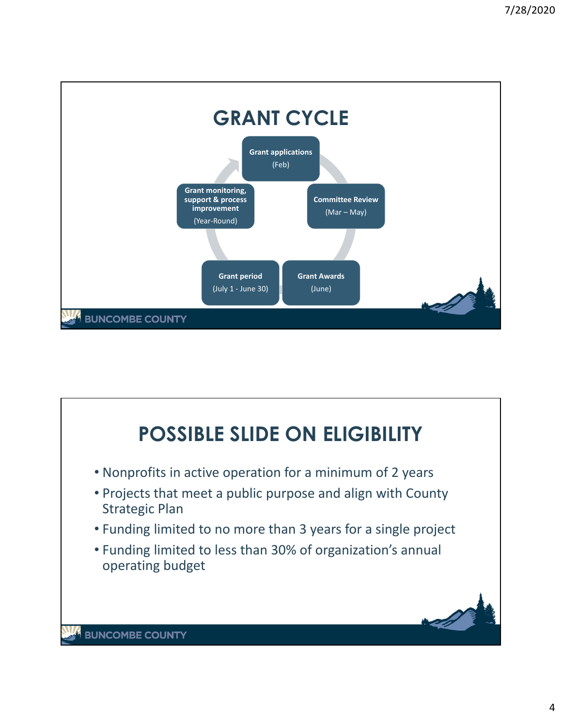

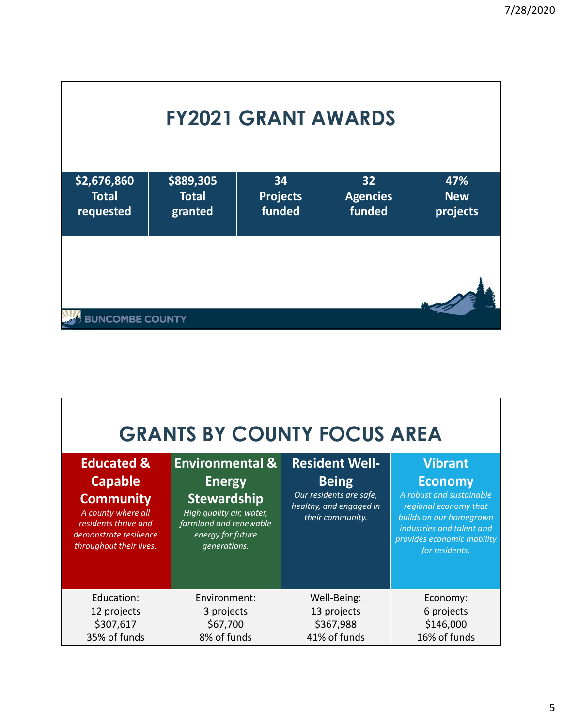| <b>FY2021 GRANT AWARDS</b>               |                                      |                                 |                                 |                               |  |  |  |
|------------------------------------------|--------------------------------------|---------------------------------|---------------------------------|-------------------------------|--|--|--|
| \$2,676,860<br><b>Total</b><br>requested | \$889,305<br><b>Total</b><br>granted | 34<br><b>Projects</b><br>funded | 32<br><b>Agencies</b><br>funded | 47%<br><b>New</b><br>projects |  |  |  |
| <b>BUNCOMBE COUNTY</b>                   |                                      |                                 |                                 |                               |  |  |  |

| <b>GRANTS BY COUNTY FOCUS AREA</b>                                                                                                                             |                                                                                                                                                              |                                                                                                                 |                                                                                                                                                                                               |  |  |  |  |  |  |
|----------------------------------------------------------------------------------------------------------------------------------------------------------------|--------------------------------------------------------------------------------------------------------------------------------------------------------------|-----------------------------------------------------------------------------------------------------------------|-----------------------------------------------------------------------------------------------------------------------------------------------------------------------------------------------|--|--|--|--|--|--|
| <b>Educated &amp;</b><br><b>Capable</b><br><b>Community</b><br>A county where all<br>residents thrive and<br>demonstrate resilience<br>throughout their lives. | <b>Environmental &amp;</b><br><b>Energy</b><br><b>Stewardship</b><br>High quality air, water,<br>farmland and renewable<br>energy for future<br>generations. | <b>Resident Well-</b><br><b>Being</b><br>Our residents are safe,<br>healthy, and engaged in<br>their community. | <b>Vibrant</b><br><b>Economy</b><br>A robust and sustainable<br>regional economy that<br>builds on our homegrown<br>industries and talent and<br>provides economic mobility<br>for residents. |  |  |  |  |  |  |
| Education:<br>12 projects<br>\$307,617<br>35% of funds                                                                                                         | Environment:<br>3 projects<br>\$67,700<br>8% of funds                                                                                                        | Well-Being:<br>13 projects<br>\$367,988<br>41% of funds                                                         | Economy:<br>6 projects<br>\$146,000<br>16% of funds                                                                                                                                           |  |  |  |  |  |  |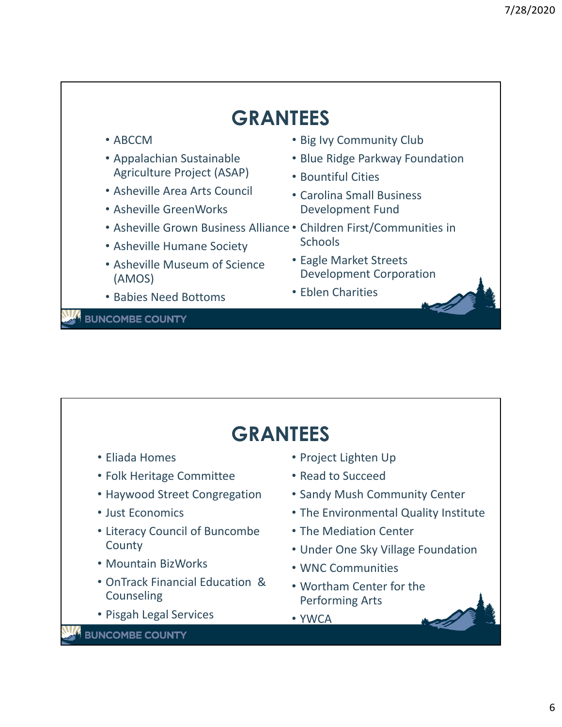

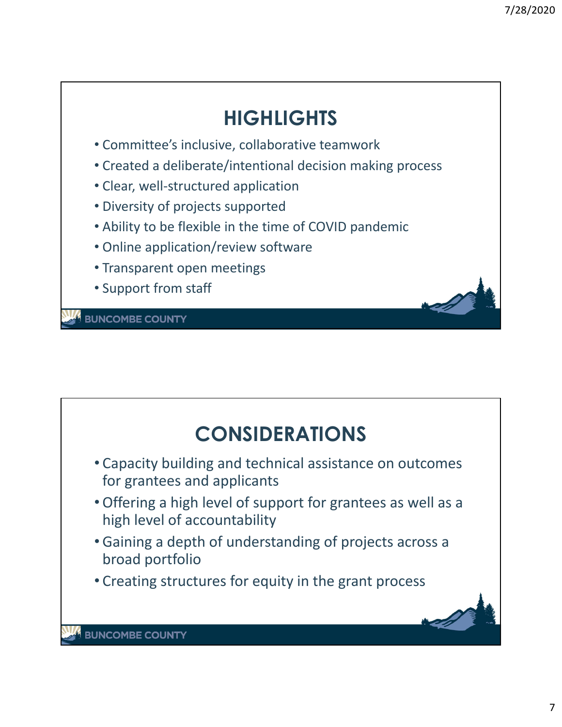## **HIGHLIGHTS**

- Committee's inclusive, collaborative teamwork
- Created a deliberate/intentional decision making process
- Clear, well‐structured application
- Diversity of projects supported
- Ability to be flexible in the time of COVID pandemic
- Online application/review software
- Transparent open meetings
- Support from staff

**BUNCOMBE COUNTY** 

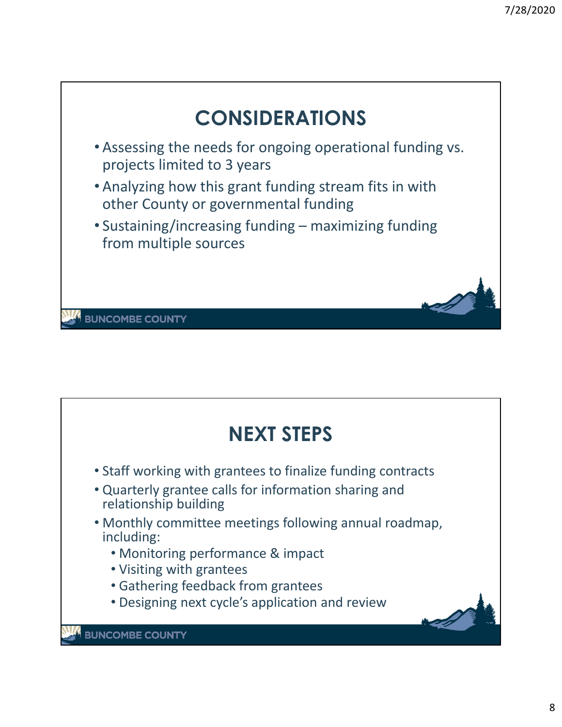